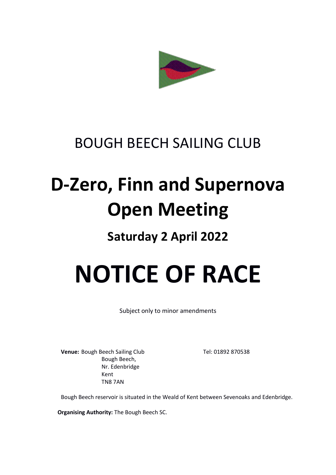

## BOUGH BEECH SAILING CLUB

## **D-Zero, Finn and Supernova Open Meeting**

### **Saturday 2 April 2022**

# **NOTICE OF RACE**

Subject only to minor amendments

**Venue:** Bough Beech Sailing Club Tel: 01892 870538 Bough Beech, Nr. Edenbridge Kent TN8 7AN

Bough Beech reservoir is situated in the Weald of Kent between Sevenoaks and Edenbridge.

**Organising Authority:** The Bough Beech SC.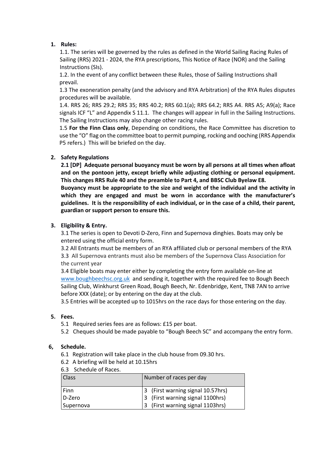#### **1. Rules:**

1.1. The series will be governed by the rules as defined in the World Sailing Racing Rules of Sailing (RRS) 2021 - 2024, the RYA prescriptions, This Notice of Race (NOR) and the Sailing Instructions (SIs).

1.2. In the event of any conflict between these Rules, those of Sailing Instructions shall prevail.

1.3 The exoneration penalty (and the advisory and RYA Arbitration) of the RYA Rules disputes procedures will be available.

1.4. RRS 26; RRS 29.2; RRS 35; RRS 40.2; RRS 60.1(a); RRS 64.2; RRS A4. RRS A5; A9(a); Race signals ICF "L" and Appendix S 11.1. The changes will appear in full in the Sailing Instructions. The Sailing Instructions may also change other racing rules.

1.5 **For the Finn Class only**, Depending on conditions, the Race Committee has discretion to use the "O" flag on the committee boat to permit pumping, rocking and ooching (RRS Appendix P5 refers.) This will be briefed on the day.

#### **2. Safety Regulations**

**2.1 [DP] Adequate personal buoyancy must be worn by all persons at all times when afloat and on the pontoon jetty, except briefly while adjusting clothing or personal equipment. This changes RRS Rule 40 and the preamble to Part 4, and BBSC Club Byelaw E8.** 

**Buoyancy must be appropriate to the size and weight of the individual and the activity in which they are engaged and must be worn in accordance with the manufacturer's guidelines. It is the responsibility of each individual, or in the case of a child, their parent, guardian or support person to ensure this.** 

#### **3. Eligibility & Entry.**

3.1 The series is open to Devoti D-Zero, Finn and Supernova dinghies. Boats may only be entered using the official entry form.

3.2 All Entrants must be members of an RYA affiliated club or personal members of the RYA 3.3 All Supernova entrants must also be members of the Supernova Class Association for the current year

3.4 Eligible boats may enter either by completing the entry form available on-line at [www.boughbeechsc.org.uk](about:blank) and sending it, together with the required fee to Bough Beech Sailing Club, Winkhurst Green Road, Bough Beech, Nr. Edenbridge, Kent, TN8 7AN to arrive before XXX (date); or by entering on the day at the club.

3.5 Entries will be accepted up to 1015hrs on the race days for those entering on the day.

#### **5. Fees.**

- 5.1 Required series fees are as follows: £15 per boat.
- 5.2 Cheques should be made payable to "Bough Beech SC" and accompany the entry form.

#### **6, Schedule.**

- 6.1 Registration will take place in the club house from 09.30 hrs.
- 6.2 A briefing will be held at 10.15hrs
- 6.3 Schedule of Races.

| <b>Class</b> | Number of races per day           |
|--------------|-----------------------------------|
| Finn         | 3 (First warning signal 10.57hrs) |
| D-Zero       | 3 (First warning signal 1100hrs)  |
| Supernova    | 3 (First warning signal 1103hrs)  |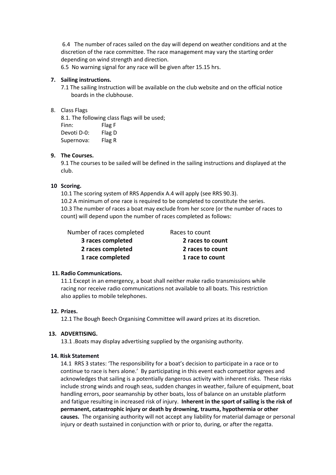6.4 The number of races sailed on the day will depend on weather conditions and at the discretion of the race committee. The race management may vary the starting order depending on wind strength and direction.

6.5 No warning signal for any race will be given after 15.15 hrs.

#### **7. Sailing instructions.**

7.1 The sailing Instruction will be available on the club website and on the official notice boards in the clubhouse.

#### 8. Class Flags

8.1. The following class flags will be used; Finn: Flag F Devoti D-0: Flag D Supernova: Flag R

#### **9. The Courses.**

9.1 The courses to be sailed will be defined in the sailing instructions and displayed at the club.

#### **10 Scoring.**

10.1 The scoring system of RRS Appendix A.4 will apply (see RRS 90.3). 10.2 A minimum of one race is required to be completed to constitute the series. 10.3 The number of races a boat may exclude from her score (or the number of races to count) will depend upon the number of races completed as follows:

Number of races completed Races to count

 **3 races completed 2 races to count 2 races completed 2 races to count 1 race completed 1 race to count**

#### **11. Radio Communications.**

11.1 Except in an emergency, a boat shall neither make radio transmissions while racing nor receive radio communications not available to all boats. This restriction also applies to mobile telephones.

#### **12. Prizes.**

12.1 The Bough Beech Organising Committee will award prizes at its discretion.

#### **13. ADVERTISING.**

13.1 .Boats may display advertising supplied by the organising authority.

#### **14. Risk Statement**

14.1 RRS 3 states: 'The responsibility for a boat's decision to participate in a race or to continue to race is hers alone.' By participating in this event each competitor agrees and acknowledges that sailing is a potentially dangerous activity with inherent risks. These risks include strong winds and rough seas, sudden changes in weather, failure of equipment, boat handling errors, poor seamanship by other boats, loss of balance on an unstable platform and fatigue resulting in increased risk of injury. **Inherent in the sport of sailing is the risk of permanent, catastrophic injury or death by drowning, trauma, hypothermia or other causes.**The organising authority will not accept any liability for material damage or personal injury or death sustained in conjunction with or prior to, during, or after the regatta.